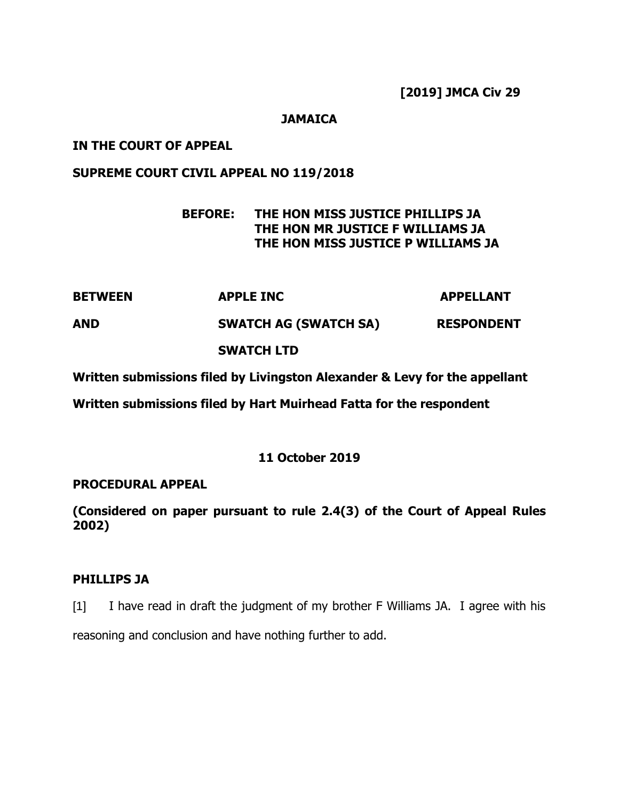**[2019] JMCA Civ 29**

## **JAMAICA**

## **IN THE COURT OF APPEAL**

## **SUPREME COURT CIVIL APPEAL NO 119/2018**

# **BEFORE: THE HON MISS JUSTICE PHILLIPS JA THE HON MR JUSTICE F WILLIAMS JA THE HON MISS JUSTICE P WILLIAMS JA**

| <b>BETWEEN</b> | <b>APPLE INC</b>             | <b>APPELLANT</b>  |
|----------------|------------------------------|-------------------|
| <b>AND</b>     | <b>SWATCH AG (SWATCH SA)</b> | <b>RESPONDENT</b> |
|                | <b>SWATCH LTD</b>            |                   |

**Written submissions filed by Livingston Alexander & Levy for the appellant**

**Written submissions filed by Hart Muirhead Fatta for the respondent**

## **11 October 2019**

## **PROCEDURAL APPEAL**

**(Considered on paper pursuant to rule 2.4(3) of the Court of Appeal Rules 2002)**

## **PHILLIPS JA**

[1] I have read in draft the judgment of my brother F Williams JA. I agree with his reasoning and conclusion and have nothing further to add.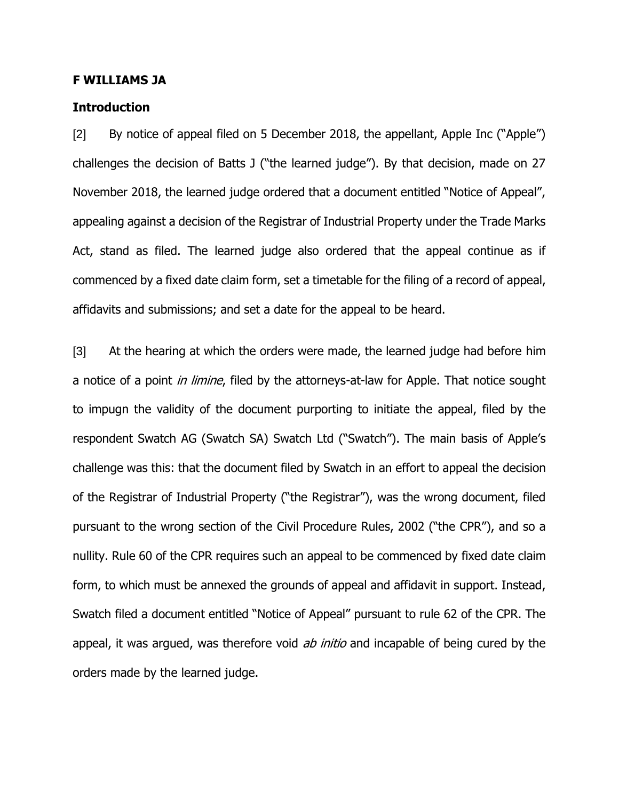#### **F WILLIAMS JA**

#### **Introduction**

[2] By notice of appeal filed on 5 December 2018, the appellant, Apple Inc ("Apple") challenges the decision of Batts J ("the learned judge"). By that decision, made on 27 November 2018, the learned judge ordered that a document entitled "Notice of Appeal", appealing against a decision of the Registrar of Industrial Property under the Trade Marks Act, stand as filed. The learned judge also ordered that the appeal continue as if commenced by a fixed date claim form, set a timetable for the filing of a record of appeal, affidavits and submissions; and set a date for the appeal to be heard.

[3] At the hearing at which the orders were made, the learned judge had before him a notice of a point *in limine*, filed by the attorneys-at-law for Apple. That notice sought to impugn the validity of the document purporting to initiate the appeal, filed by the respondent Swatch AG (Swatch SA) Swatch Ltd ("Swatch"). The main basis of Apple's challenge was this: that the document filed by Swatch in an effort to appeal the decision of the Registrar of Industrial Property ("the Registrar"), was the wrong document, filed pursuant to the wrong section of the Civil Procedure Rules, 2002 ("the CPR"), and so a nullity. Rule 60 of the CPR requires such an appeal to be commenced by fixed date claim form, to which must be annexed the grounds of appeal and affidavit in support. Instead, Swatch filed a document entitled "Notice of Appeal" pursuant to rule 62 of the CPR. The appeal, it was argued, was therefore void *ab initio* and incapable of being cured by the orders made by the learned judge.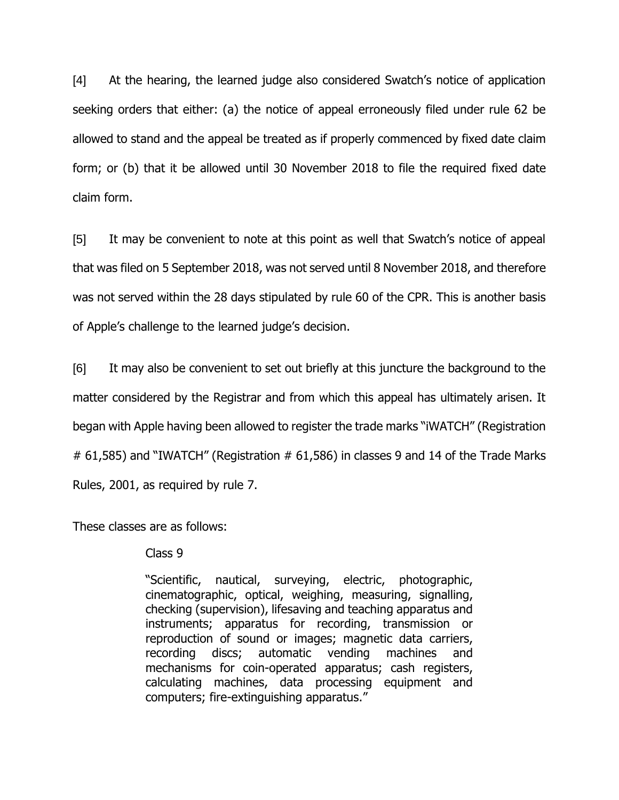[4] At the hearing, the learned judge also considered Swatch's notice of application seeking orders that either: (a) the notice of appeal erroneously filed under rule 62 be allowed to stand and the appeal be treated as if properly commenced by fixed date claim form; or (b) that it be allowed until 30 November 2018 to file the required fixed date claim form.

[5] It may be convenient to note at this point as well that Swatch's notice of appeal that was filed on 5 September 2018, was not served until 8 November 2018, and therefore was not served within the 28 days stipulated by rule 60 of the CPR. This is another basis of Apple's challenge to the learned judge's decision.

[6] It may also be convenient to set out briefly at this juncture the background to the matter considered by the Registrar and from which this appeal has ultimately arisen. It began with Apple having been allowed to register the trade marks "iWATCH" (Registration  $\#$  61,585) and "IWATCH" (Registration  $\#$  61,586) in classes 9 and 14 of the Trade Marks Rules, 2001, as required by rule 7.

These classes are as follows:

Class 9

"Scientific, nautical, surveying, electric, photographic, cinematographic, optical, weighing, measuring, signalling, checking (supervision), lifesaving and teaching apparatus and instruments; apparatus for recording, transmission or reproduction of sound or images; magnetic data carriers, recording discs; automatic vending machines and mechanisms for coin-operated apparatus; cash registers, calculating machines, data processing equipment and computers; fire-extinguishing apparatus."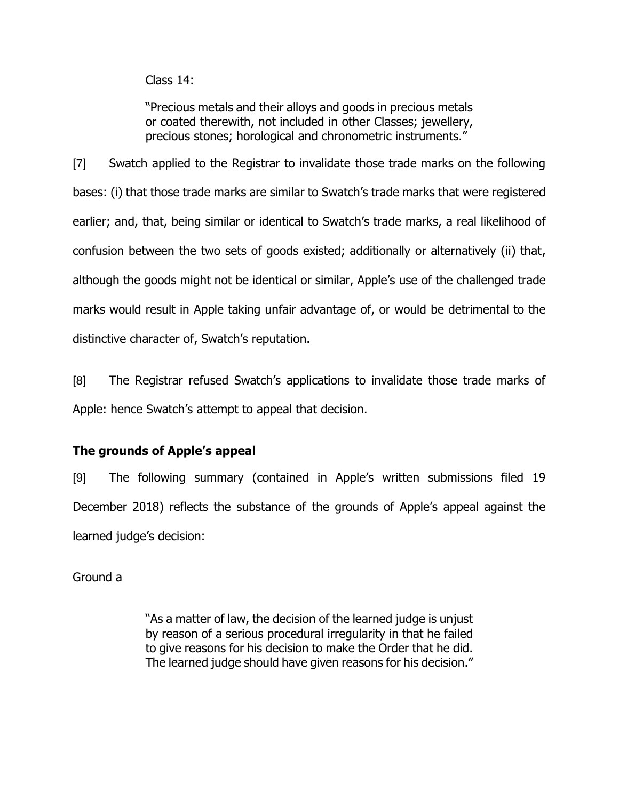Class 14:

"Precious metals and their alloys and goods in precious metals or coated therewith, not included in other Classes; jewellery, precious stones; horological and chronometric instruments."

[7] Swatch applied to the Registrar to invalidate those trade marks on the following bases: (i) that those trade marks are similar to Swatch's trade marks that were registered earlier; and, that, being similar or identical to Swatch's trade marks, a real likelihood of confusion between the two sets of goods existed; additionally or alternatively (ii) that, although the goods might not be identical or similar, Apple's use of the challenged trade marks would result in Apple taking unfair advantage of, or would be detrimental to the distinctive character of, Swatch's reputation.

[8] The Registrar refused Swatch's applications to invalidate those trade marks of Apple: hence Swatch's attempt to appeal that decision.

## **The grounds of Apple's appeal**

[9] The following summary (contained in Apple's written submissions filed 19 December 2018) reflects the substance of the grounds of Apple's appeal against the learned judge's decision:

Ground a

"As a matter of law, the decision of the learned judge is unjust by reason of a serious procedural irregularity in that he failed to give reasons for his decision to make the Order that he did. The learned judge should have given reasons for his decision."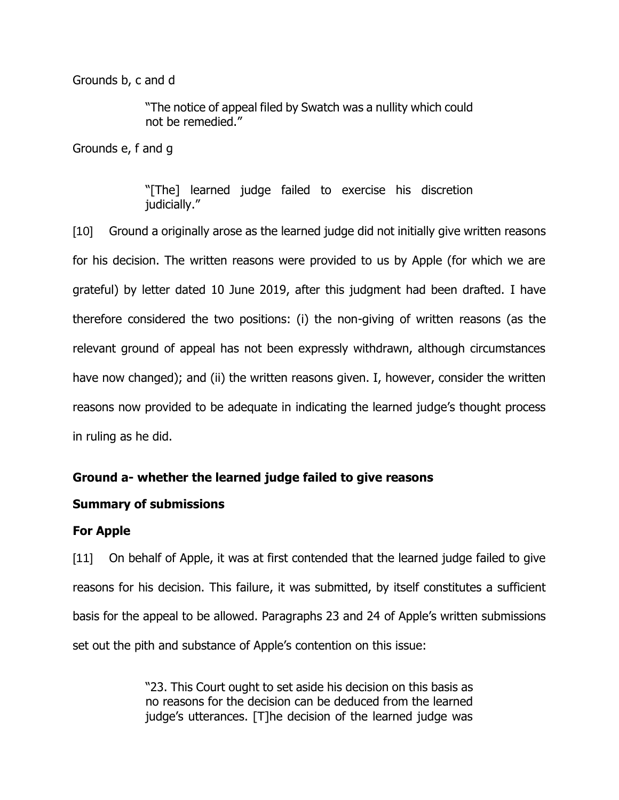Grounds b, c and d

"The notice of appeal filed by Swatch was a nullity which could not be remedied."

Grounds e, f and g

"[The] learned judge failed to exercise his discretion judicially."

[10] Ground a originally arose as the learned judge did not initially give written reasons for his decision. The written reasons were provided to us by Apple (for which we are grateful) by letter dated 10 June 2019, after this judgment had been drafted. I have therefore considered the two positions: (i) the non-giving of written reasons (as the relevant ground of appeal has not been expressly withdrawn, although circumstances have now changed); and (ii) the written reasons given. I, however, consider the written reasons now provided to be adequate in indicating the learned judge's thought process in ruling as he did.

## **Ground a- whether the learned judge failed to give reasons**

## **Summary of submissions**

## **For Apple**

[11] On behalf of Apple, it was at first contended that the learned judge failed to give reasons for his decision. This failure, it was submitted, by itself constitutes a sufficient basis for the appeal to be allowed. Paragraphs 23 and 24 of Apple's written submissions set out the pith and substance of Apple's contention on this issue:

> "23. This Court ought to set aside his decision on this basis as no reasons for the decision can be deduced from the learned judge's utterances. [T]he decision of the learned judge was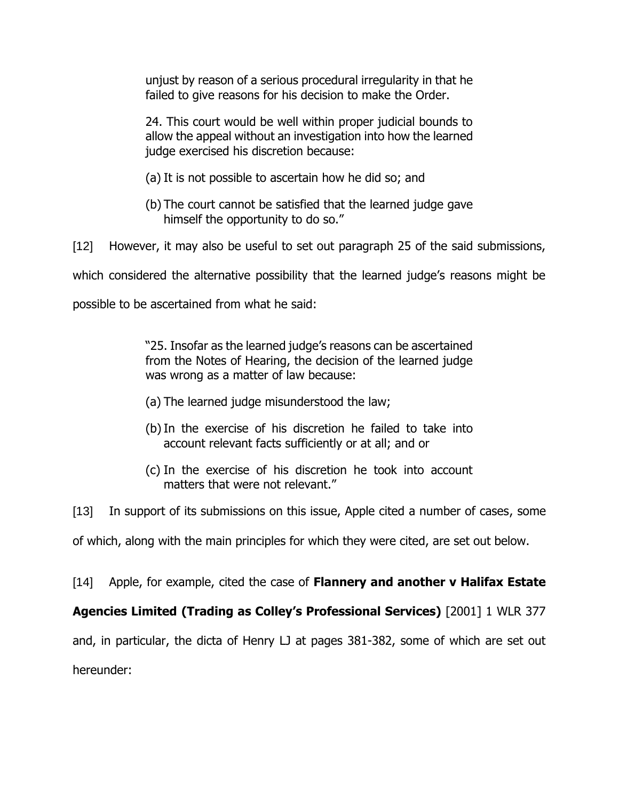unjust by reason of a serious procedural irregularity in that he failed to give reasons for his decision to make the Order.

24. This court would be well within proper judicial bounds to allow the appeal without an investigation into how the learned judge exercised his discretion because:

- (a) It is not possible to ascertain how he did so; and
- (b) The court cannot be satisfied that the learned judge gave himself the opportunity to do so."

[12] However, it may also be useful to set out paragraph 25 of the said submissions,

which considered the alternative possibility that the learned judge's reasons might be

possible to be ascertained from what he said:

"25. Insofar as the learned judge's reasons can be ascertained from the Notes of Hearing, the decision of the learned judge was wrong as a matter of law because:

- (a) The learned judge misunderstood the law;
- (b)In the exercise of his discretion he failed to take into account relevant facts sufficiently or at all; and or
- (c) In the exercise of his discretion he took into account matters that were not relevant."

[13] In support of its submissions on this issue, Apple cited a number of cases, some of which, along with the main principles for which they were cited, are set out below.

[14] Apple, for example, cited the case of **Flannery and another v Halifax Estate** 

**Agencies Limited (Trading as Colley's Professional Services)** [2001] 1 WLR 377

and, in particular, the dicta of Henry LJ at pages 381-382, some of which are set out hereunder: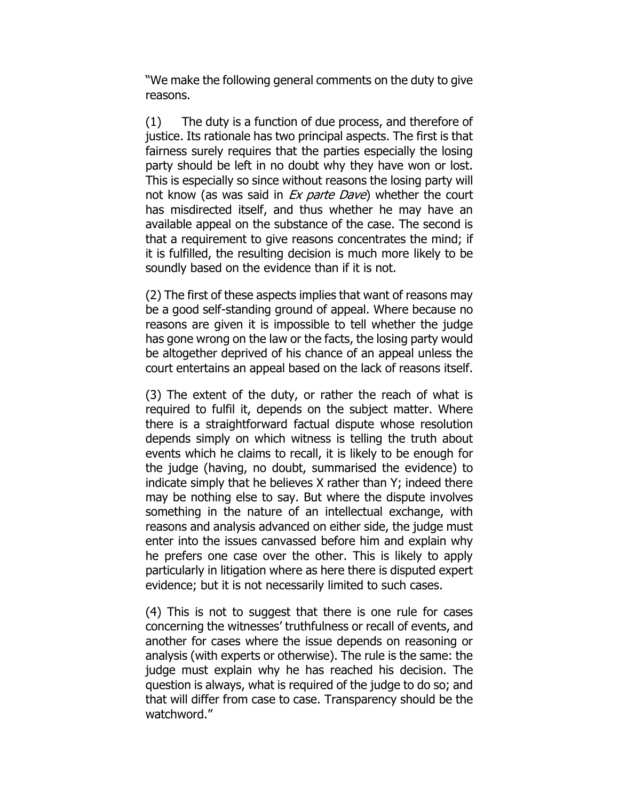"We make the following general comments on the duty to give reasons.

(1) The duty is a function of due process, and therefore of justice. Its rationale has two principal aspects. The first is that fairness surely requires that the parties especially the losing party should be left in no doubt why they have won or lost. This is especially so since without reasons the losing party will not know (as was said in Ex parte Dave) whether the court has misdirected itself, and thus whether he may have an available appeal on the substance of the case. The second is that a requirement to give reasons concentrates the mind; if it is fulfilled, the resulting decision is much more likely to be soundly based on the evidence than if it is not.

(2) The first of these aspects implies that want of reasons may be a good self-standing ground of appeal. Where because no reasons are given it is impossible to tell whether the judge has gone wrong on the law or the facts, the losing party would be altogether deprived of his chance of an appeal unless the court entertains an appeal based on the lack of reasons itself.

(3) The extent of the duty, or rather the reach of what is required to fulfil it, depends on the subject matter. Where there is a straightforward factual dispute whose resolution depends simply on which witness is telling the truth about events which he claims to recall, it is likely to be enough for the judge (having, no doubt, summarised the evidence) to indicate simply that he believes X rather than Y; indeed there may be nothing else to say. But where the dispute involves something in the nature of an intellectual exchange, with reasons and analysis advanced on either side, the judge must enter into the issues canvassed before him and explain why he prefers one case over the other. This is likely to apply particularly in litigation where as here there is disputed expert evidence; but it is not necessarily limited to such cases.

(4) This is not to suggest that there is one rule for cases concerning the witnesses' truthfulness or recall of events, and another for cases where the issue depends on reasoning or analysis (with experts or otherwise). The rule is the same: the judge must explain why he has reached his decision. The question is always, what is required of the judge to do so; and that will differ from case to case. Transparency should be the watchword."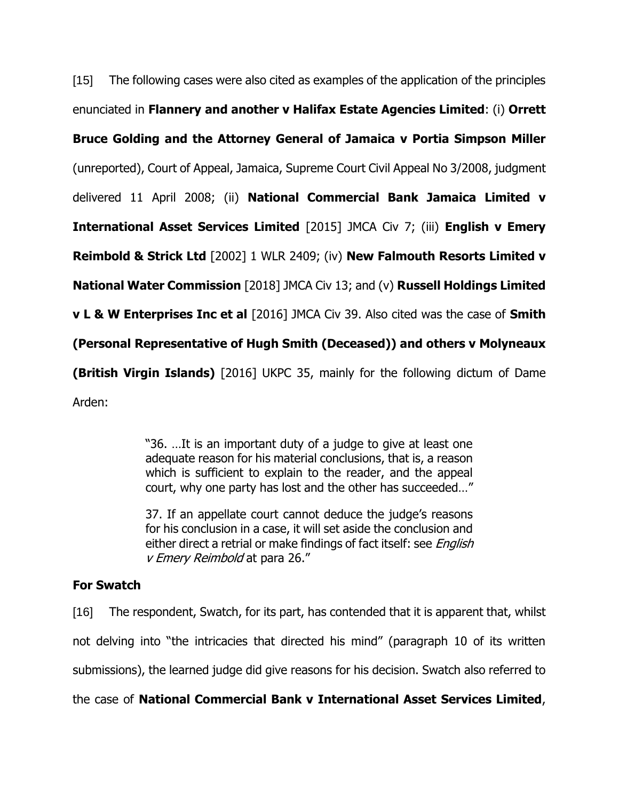[15] The following cases were also cited as examples of the application of the principles enunciated in **Flannery and another v Halifax Estate Agencies Limited**: (i) **Orrett Bruce Golding and the Attorney General of Jamaica v Portia Simpson Miller** (unreported), Court of Appeal, Jamaica, Supreme Court Civil Appeal No 3/2008, judgment delivered 11 April 2008; (ii) **National Commercial Bank Jamaica Limited v International Asset Services Limited** [2015] JMCA Civ 7; (iii) **English v Emery Reimbold & Strick Ltd** [2002] 1 WLR 2409; (iv) **New Falmouth Resorts Limited v National Water Commission** [2018] JMCA Civ 13; and (v) **Russell Holdings Limited v L & W Enterprises Inc et al** [2016] JMCA Civ 39. Also cited was the case of **Smith (Personal Representative of Hugh Smith (Deceased)) and others v Molyneaux (British Virgin Islands)** [2016] UKPC 35, mainly for the following dictum of Dame Arden:

> "36. …It is an important duty of a judge to give at least one adequate reason for his material conclusions, that is, a reason which is sufficient to explain to the reader, and the appeal court, why one party has lost and the other has succeeded…"

> 37. If an appellate court cannot deduce the judge's reasons for his conclusion in a case, it will set aside the conclusion and either direct a retrial or make findings of fact itself: see *English* v Emery Reimbold at para 26."

## **For Swatch**

[16] The respondent, Swatch, for its part, has contended that it is apparent that, whilst not delving into "the intricacies that directed his mind" (paragraph 10 of its written submissions), the learned judge did give reasons for his decision. Swatch also referred to

the case of **National Commercial Bank v International Asset Services Limited**,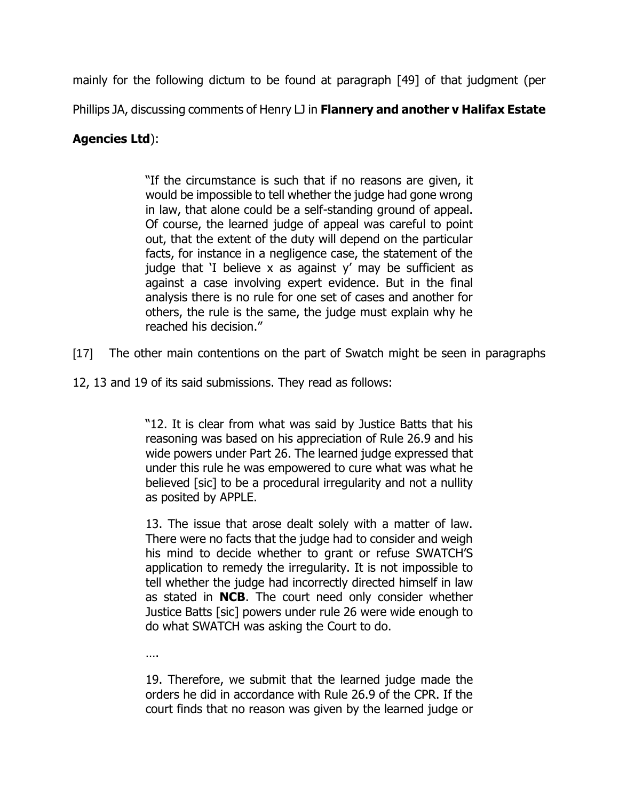mainly for the following dictum to be found at paragraph [49] of that judgment (per

Phillips JA, discussing comments of Henry LJ in **Flannery and another v Halifax Estate** 

## **Agencies Ltd**):

"If the circumstance is such that if no reasons are given, it would be impossible to tell whether the judge had gone wrong in law, that alone could be a self-standing ground of appeal. Of course, the learned judge of appeal was careful to point out, that the extent of the duty will depend on the particular facts, for instance in a negligence case, the statement of the judge that 'I believe x as against  $y'$  may be sufficient as against a case involving expert evidence. But in the final analysis there is no rule for one set of cases and another for others, the rule is the same, the judge must explain why he reached his decision."

- [17] The other main contentions on the part of Swatch might be seen in paragraphs
- 12, 13 and 19 of its said submissions. They read as follows:

"12. It is clear from what was said by Justice Batts that his reasoning was based on his appreciation of Rule 26.9 and his wide powers under Part 26. The learned judge expressed that under this rule he was empowered to cure what was what he believed [sic] to be a procedural irregularity and not a nullity as posited by APPLE.

13. The issue that arose dealt solely with a matter of law. There were no facts that the judge had to consider and weigh his mind to decide whether to grant or refuse SWATCH'S application to remedy the irregularity. It is not impossible to tell whether the judge had incorrectly directed himself in law as stated in **NCB**. The court need only consider whether Justice Batts [sic] powers under rule 26 were wide enough to do what SWATCH was asking the Court to do.

….

19. Therefore, we submit that the learned judge made the orders he did in accordance with Rule 26.9 of the CPR. If the court finds that no reason was given by the learned judge or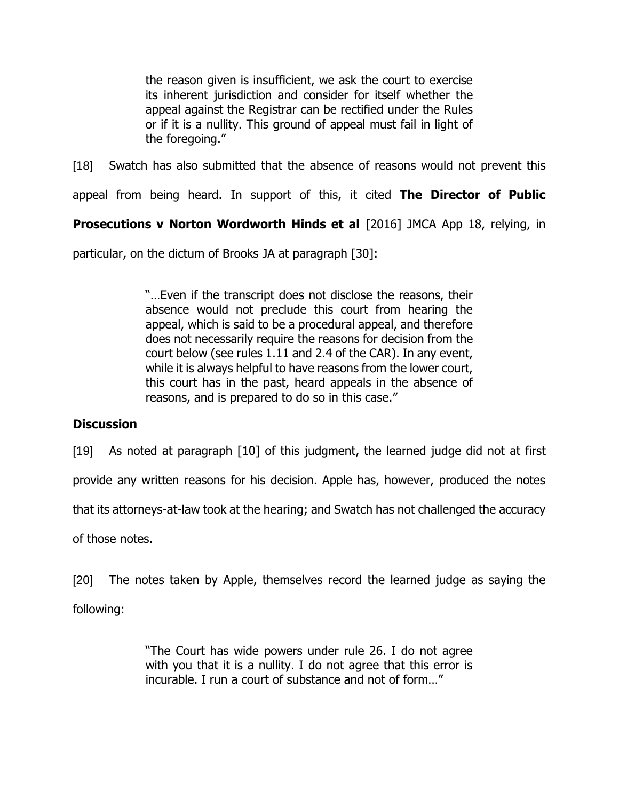the reason given is insufficient, we ask the court to exercise its inherent jurisdiction and consider for itself whether the appeal against the Registrar can be rectified under the Rules or if it is a nullity. This ground of appeal must fail in light of the foregoing."

[18] Swatch has also submitted that the absence of reasons would not prevent this

appeal from being heard. In support of this, it cited **The Director of Public** 

**Prosecutions v Norton Wordworth Hinds et al [2016] JMCA App 18, relying, in** 

particular, on the dictum of Brooks JA at paragraph [30]:

"…Even if the transcript does not disclose the reasons, their absence would not preclude this court from hearing the appeal, which is said to be a procedural appeal, and therefore does not necessarily require the reasons for decision from the court below (see rules 1.11 and 2.4 of the CAR). In any event, while it is always helpful to have reasons from the lower court, this court has in the past, heard appeals in the absence of reasons, and is prepared to do so in this case."

## **Discussion**

[19] As noted at paragraph [10] of this judgment, the learned judge did not at first

provide any written reasons for his decision. Apple has, however, produced the notes

that its attorneys-at-law took at the hearing; and Swatch has not challenged the accuracy

of those notes.

[20] The notes taken by Apple, themselves record the learned judge as saying the

following:

"The Court has wide powers under rule 26. I do not agree with you that it is a nullity. I do not agree that this error is incurable. I run a court of substance and not of form…"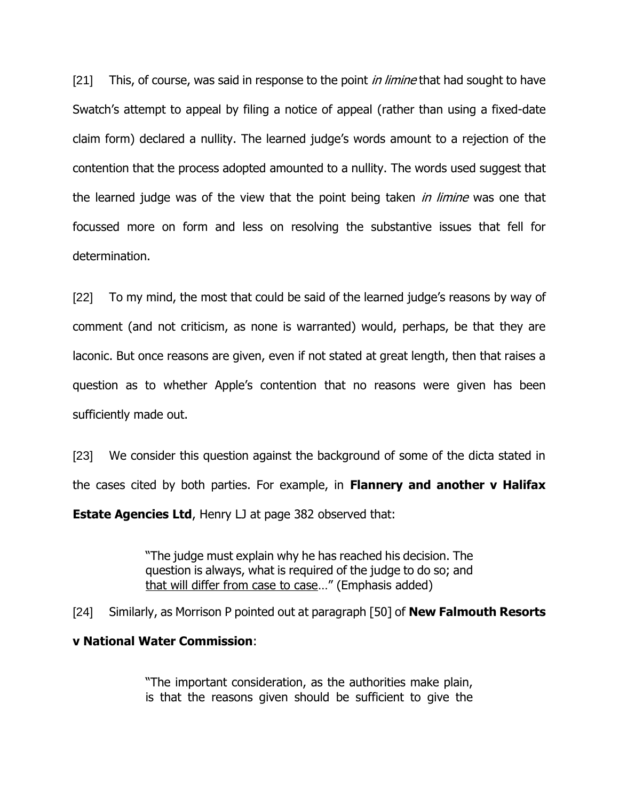[21] This, of course, was said in response to the point *in limine* that had sought to have Swatch's attempt to appeal by filing a notice of appeal (rather than using a fixed-date claim form) declared a nullity. The learned judge's words amount to a rejection of the contention that the process adopted amounted to a nullity. The words used suggest that the learned judge was of the view that the point being taken *in limine* was one that focussed more on form and less on resolving the substantive issues that fell for determination.

[22] To my mind, the most that could be said of the learned judge's reasons by way of comment (and not criticism, as none is warranted) would, perhaps, be that they are laconic. But once reasons are given, even if not stated at great length, then that raises a question as to whether Apple's contention that no reasons were given has been sufficiently made out.

[23] We consider this question against the background of some of the dicta stated in the cases cited by both parties. For example, in **Flannery and another v Halifax Estate Agencies Ltd**, Henry LJ at page 382 observed that:

> "The judge must explain why he has reached his decision. The question is always, what is required of the judge to do so; and that will differ from case to case…" (Emphasis added)

[24] Similarly, as Morrison P pointed out at paragraph [50] of **New Falmouth Resorts** 

## **v National Water Commission**:

"The important consideration, as the authorities make plain, is that the reasons given should be sufficient to give the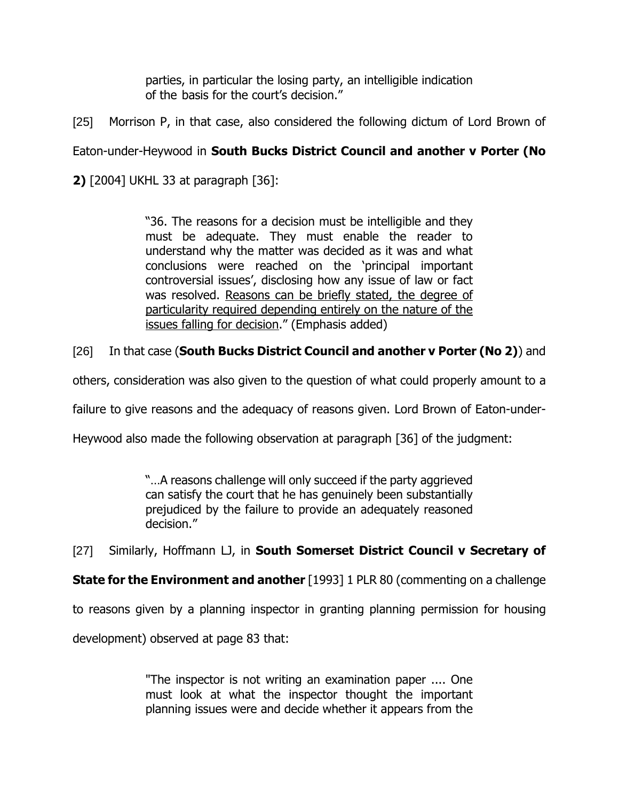parties, in particular the losing party, an intelligible indication of the basis for the court's decision."

[25] Morrison P, in that case, also considered the following dictum of Lord Brown of

# Eaton-under-Heywood in **South Bucks District Council and another v Porter (No**

**2)** [2004] UKHL 33 at paragraph [36]:

"36. The reasons for a decision must be intelligible and they must be adequate. They must enable the reader to understand why the matter was decided as it was and what conclusions were reached on the 'principal important controversial issues', disclosing how any issue of law or fact was resolved. Reasons can be briefly stated, the degree of particularity required depending entirely on the nature of the issues falling for decision." (Emphasis added)

# [26] In that case (**South Bucks District Council and another v Porter (No 2)**) and

others, consideration was also given to the question of what could properly amount to a

failure to give reasons and the adequacy of reasons given. Lord Brown of Eaton-under-

Heywood also made the following observation at paragraph [36] of the judgment:

"…A reasons challenge will only succeed if the party aggrieved can satisfy the court that he has genuinely been substantially prejudiced by the failure to provide an adequately reasoned decision."

[27] Similarly, Hoffmann LJ, in **South Somerset District Council v Secretary of** 

**State for the Environment and another** [1993] 1 PLR 80 (commenting on a challenge

to reasons given by a planning inspector in granting planning permission for housing

development) observed at page 83 that:

"The inspector is not writing an examination paper .... One must look at what the inspector thought the important planning issues were and decide whether it appears from the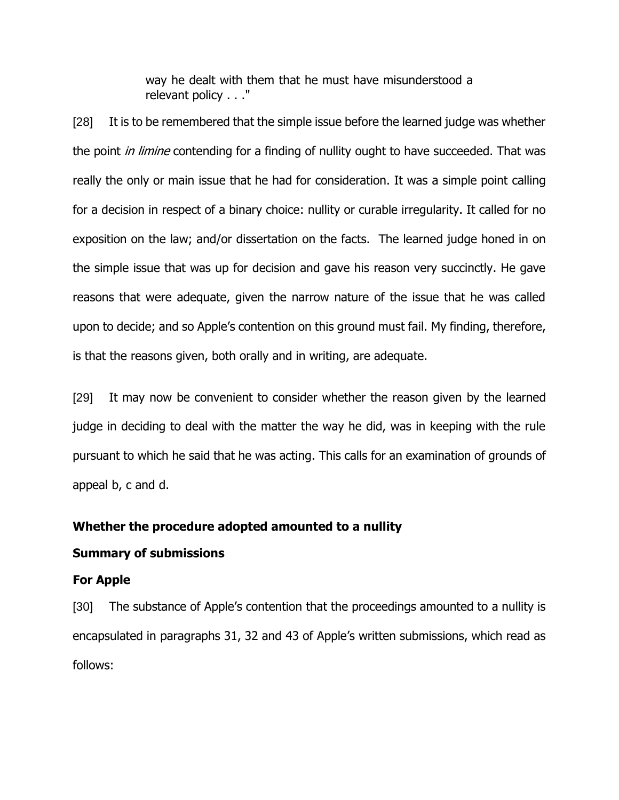way he dealt with them that he must have misunderstood a relevant policy . . ."

[28] It is to be remembered that the simple issue before the learned judge was whether the point *in limine* contending for a finding of nullity ought to have succeeded. That was really the only or main issue that he had for consideration. It was a simple point calling for a decision in respect of a binary choice: nullity or curable irregularity. It called for no exposition on the law; and/or dissertation on the facts. The learned judge honed in on the simple issue that was up for decision and gave his reason very succinctly. He gave reasons that were adequate, given the narrow nature of the issue that he was called upon to decide; and so Apple's contention on this ground must fail. My finding, therefore, is that the reasons given, both orally and in writing, are adequate.

[29] It may now be convenient to consider whether the reason given by the learned judge in deciding to deal with the matter the way he did, was in keeping with the rule pursuant to which he said that he was acting. This calls for an examination of grounds of appeal b, c and d.

#### **Whether the procedure adopted amounted to a nullity**

#### **Summary of submissions**

#### **For Apple**

[30] The substance of Apple's contention that the proceedings amounted to a nullity is encapsulated in paragraphs 31, 32 and 43 of Apple's written submissions, which read as follows: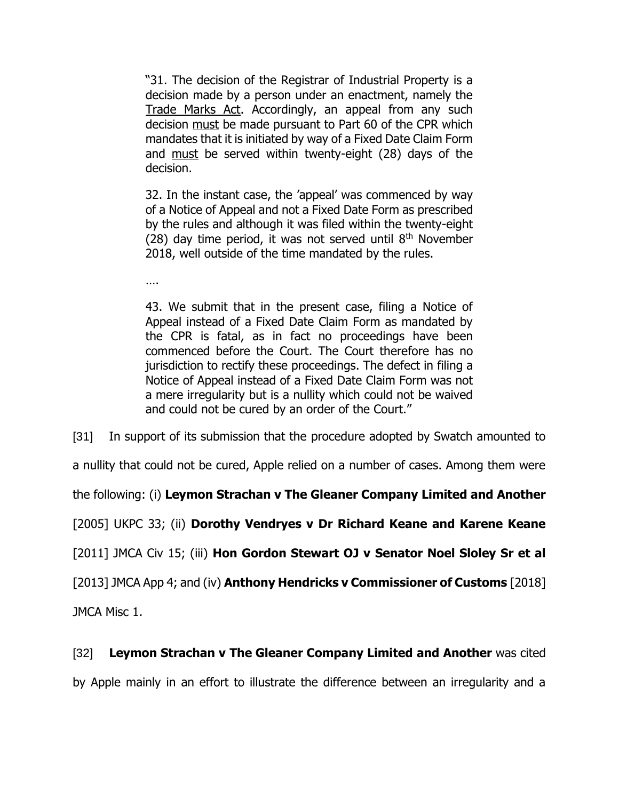"31. The decision of the Registrar of Industrial Property is a decision made by a person under an enactment, namely the Trade Marks Act. Accordingly, an appeal from any such decision must be made pursuant to Part 60 of the CPR which mandates that it is initiated by way of a Fixed Date Claim Form and must be served within twenty-eight (28) days of the decision.

32. In the instant case, the 'appeal' was commenced by way of a Notice of Appeal and not a Fixed Date Form as prescribed by the rules and although it was filed within the twenty-eight (28) day time period, it was not served until  $8<sup>th</sup>$  November 2018, well outside of the time mandated by the rules.

….

43. We submit that in the present case, filing a Notice of Appeal instead of a Fixed Date Claim Form as mandated by the CPR is fatal, as in fact no proceedings have been commenced before the Court. The Court therefore has no jurisdiction to rectify these proceedings. The defect in filing a Notice of Appeal instead of a Fixed Date Claim Form was not a mere irregularity but is a nullity which could not be waived and could not be cured by an order of the Court."

[31] In support of its submission that the procedure adopted by Swatch amounted to

a nullity that could not be cured, Apple relied on a number of cases. Among them were

the following: (i) **Leymon Strachan v The Gleaner Company Limited and Another**

[2005] UKPC 33; (ii) **Dorothy Vendryes v Dr Richard Keane and Karene Keane**

[2011] JMCA Civ 15; (iii) **Hon Gordon Stewart OJ v Senator Noel Sloley Sr et al**

[2013] JMCA App 4; and (iv) **Anthony Hendricks v Commissioner of Customs** [2018]

JMCA Misc 1.

# [32] **Leymon Strachan v The Gleaner Company Limited and Another** was cited

by Apple mainly in an effort to illustrate the difference between an irregularity and a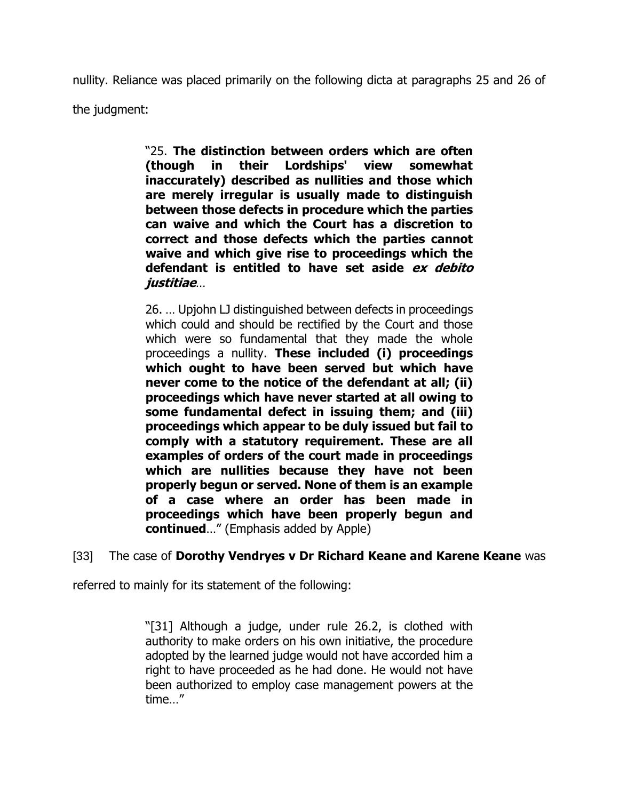nullity. Reliance was placed primarily on the following dicta at paragraphs 25 and 26 of

the judgment:

"25. **The distinction between orders which are often (though in their Lordships' view somewhat inaccurately) described as nullities and those which are merely irregular is usually made to distinguish between those defects in procedure which the parties can waive and which the Court has a discretion to correct and those defects which the parties cannot waive and which give rise to proceedings which the defendant is entitled to have set aside ex debito justitiae**…

26. … Upjohn LJ distinguished between defects in proceedings which could and should be rectified by the Court and those which were so fundamental that they made the whole proceedings a nullity. **These included (i) proceedings which ought to have been served but which have never come to the notice of the defendant at all; (ii) proceedings which have never started at all owing to some fundamental defect in issuing them; and (iii) proceedings which appear to be duly issued but fail to comply with a statutory requirement. These are all examples of orders of the court made in proceedings which are nullities because they have not been properly begun or served. None of them is an example of a case where an order has been made in proceedings which have been properly begun and continued**…" (Emphasis added by Apple)

## [33] The case of **Dorothy Vendryes v Dr Richard Keane and Karene Keane** was

referred to mainly for its statement of the following:

"[31] Although a judge, under rule 26.2, is clothed with authority to make orders on his own initiative, the procedure adopted by the learned judge would not have accorded him a right to have proceeded as he had done. He would not have been authorized to employ case management powers at the time…"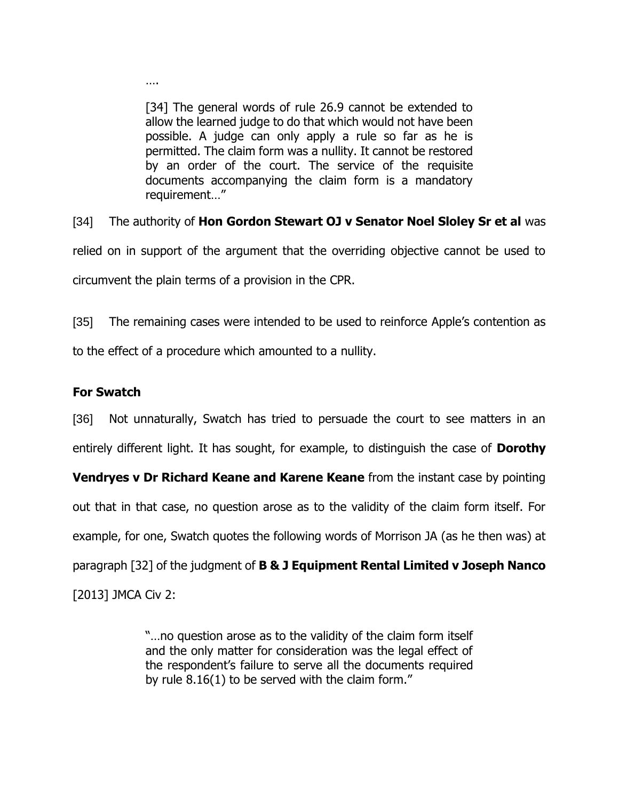[34] The general words of rule 26.9 cannot be extended to allow the learned judge to do that which would not have been possible. A judge can only apply a rule so far as he is permitted. The claim form was a nullity. It cannot be restored by an order of the court. The service of the requisite documents accompanying the claim form is a mandatory requirement…"

[34] The authority of **Hon Gordon Stewart OJ v Senator Noel Sloley Sr et al** was relied on in support of the argument that the overriding objective cannot be used to circumvent the plain terms of a provision in the CPR.

[35] The remaining cases were intended to be used to reinforce Apple's contention as to the effect of a procedure which amounted to a nullity.

# **For Swatch**

….

[36] Not unnaturally, Swatch has tried to persuade the court to see matters in an entirely different light. It has sought, for example, to distinguish the case of **Dorothy** 

**Vendryes v Dr Richard Keane and Karene Keane** from the instant case by pointing out that in that case, no question arose as to the validity of the claim form itself. For example, for one, Swatch quotes the following words of Morrison JA (as he then was) at paragraph [32] of the judgment of **B & J Equipment Rental Limited v Joseph Nanco**  [2013] JMCA Civ 2:

> "…no question arose as to the validity of the claim form itself and the only matter for consideration was the legal effect of the respondent's failure to serve all the documents required by rule 8.16(1) to be served with the claim form."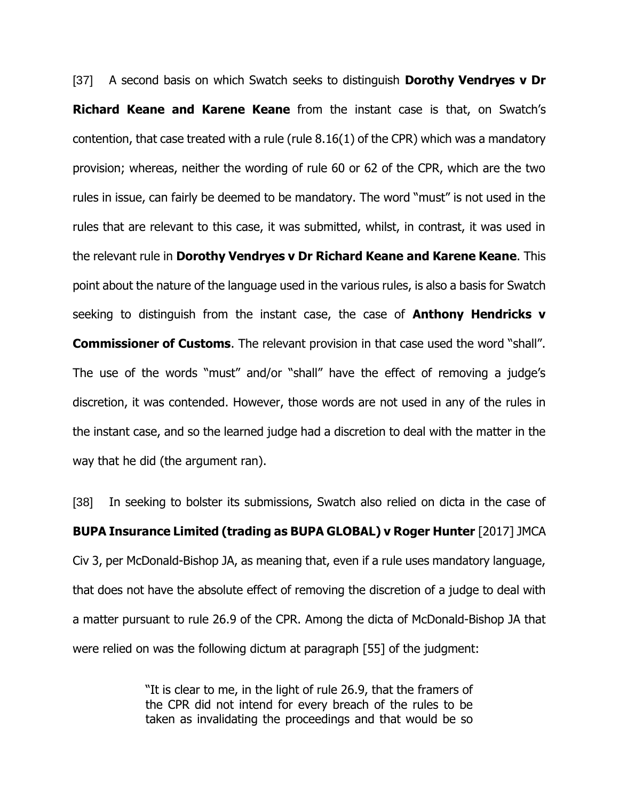[37] A second basis on which Swatch seeks to distinguish **Dorothy Vendryes v Dr Richard Keane and Karene Keane** from the instant case is that, on Swatch's contention, that case treated with a rule (rule 8.16(1) of the CPR) which was a mandatory provision; whereas, neither the wording of rule 60 or 62 of the CPR, which are the two rules in issue, can fairly be deemed to be mandatory. The word "must" is not used in the rules that are relevant to this case, it was submitted, whilst, in contrast, it was used in the relevant rule in **Dorothy Vendryes v Dr Richard Keane and Karene Keane**. This point about the nature of the language used in the various rules, is also a basis for Swatch seeking to distinguish from the instant case, the case of **Anthony Hendricks v Commissioner of Customs**. The relevant provision in that case used the word "shall". The use of the words "must" and/or "shall" have the effect of removing a judge's discretion, it was contended. However, those words are not used in any of the rules in the instant case, and so the learned judge had a discretion to deal with the matter in the way that he did (the argument ran).

[38] In seeking to bolster its submissions, Swatch also relied on dicta in the case of **BUPA Insurance Limited (trading as BUPA GLOBAL) v Roger Hunter** [2017] JMCA Civ 3, per McDonald-Bishop JA, as meaning that, even if a rule uses mandatory language, that does not have the absolute effect of removing the discretion of a judge to deal with a matter pursuant to rule 26.9 of the CPR. Among the dicta of McDonald-Bishop JA that were relied on was the following dictum at paragraph [55] of the judgment:

> "It is clear to me, in the light of rule 26.9, that the framers of the CPR did not intend for every breach of the rules to be taken as invalidating the proceedings and that would be so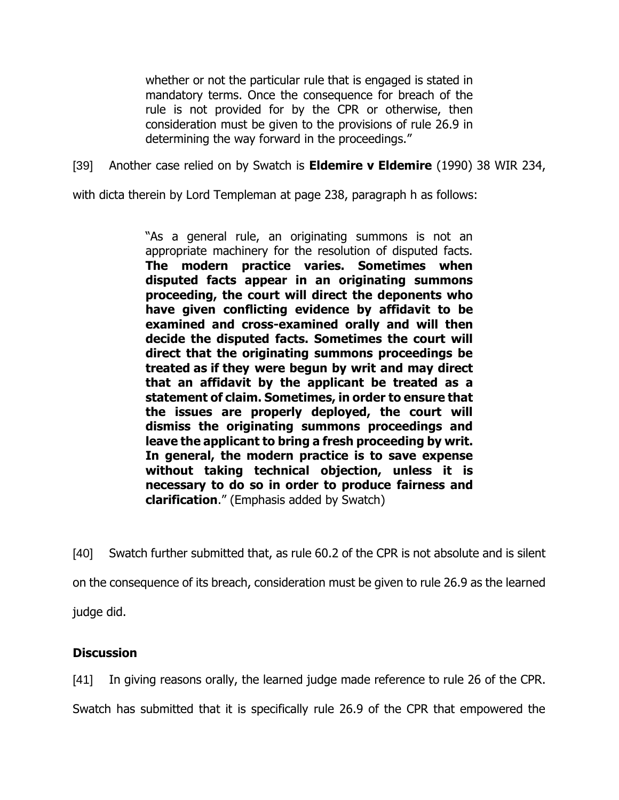whether or not the particular rule that is engaged is stated in mandatory terms. Once the consequence for breach of the rule is not provided for by the CPR or otherwise, then consideration must be given to the provisions of rule 26.9 in determining the way forward in the proceedings."

[39] Another case relied on by Swatch is **Eldemire v Eldemire** (1990) 38 WIR 234,

with dicta therein by Lord Templeman at page 238, paragraph h as follows:

"As a general rule, an originating summons is not an appropriate machinery for the resolution of disputed facts. **The modern practice varies. Sometimes when disputed facts appear in an originating summons proceeding, the court will direct the deponents who have given conflicting evidence by affidavit to be examined and cross-examined orally and will then decide the disputed facts. Sometimes the court will direct that the originating summons proceedings be treated as if they were begun by writ and may direct that an affidavit by the applicant be treated as a statement of claim. Sometimes, in order to ensure that the issues are properly deployed, the court will dismiss the originating summons proceedings and leave the applicant to bring a fresh proceeding by writ. In general, the modern practice is to save expense without taking technical objection, unless it is necessary to do so in order to produce fairness and clarification**." (Emphasis added by Swatch)

[40] Swatch further submitted that, as rule 60.2 of the CPR is not absolute and is silent on the consequence of its breach, consideration must be given to rule 26.9 as the learned judge did.

## **Discussion**

[41] In giving reasons orally, the learned judge made reference to rule 26 of the CPR.

Swatch has submitted that it is specifically rule 26.9 of the CPR that empowered the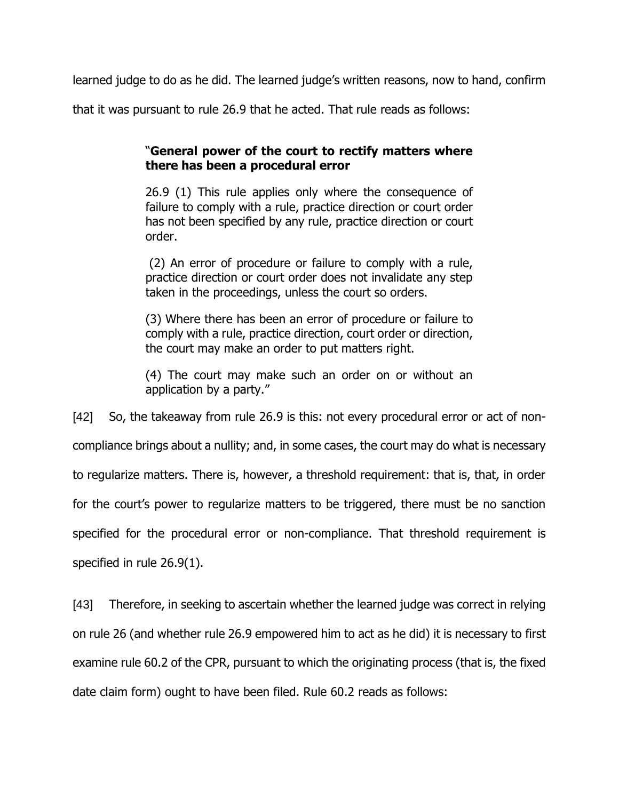learned judge to do as he did. The learned judge's written reasons, now to hand, confirm

that it was pursuant to rule 26.9 that he acted. That rule reads as follows:

## "**General power of the court to rectify matters where there has been a procedural error**

26.9 (1) This rule applies only where the consequence of failure to comply with a rule, practice direction or court order has not been specified by any rule, practice direction or court order.

(2) An error of procedure or failure to comply with a rule, practice direction or court order does not invalidate any step taken in the proceedings, unless the court so orders.

(3) Where there has been an error of procedure or failure to comply with a rule, practice direction, court order or direction, the court may make an order to put matters right.

(4) The court may make such an order on or without an application by a party."

[42] So, the takeaway from rule 26.9 is this: not every procedural error or act of noncompliance brings about a nullity; and, in some cases, the court may do what is necessary to regularize matters. There is, however, a threshold requirement: that is, that, in order for the court's power to regularize matters to be triggered, there must be no sanction specified for the procedural error or non-compliance. That threshold requirement is specified in rule 26.9(1).

[43] Therefore, in seeking to ascertain whether the learned judge was correct in relying on rule 26 (and whether rule 26.9 empowered him to act as he did) it is necessary to first examine rule 60.2 of the CPR, pursuant to which the originating process (that is, the fixed date claim form) ought to have been filed. Rule 60.2 reads as follows: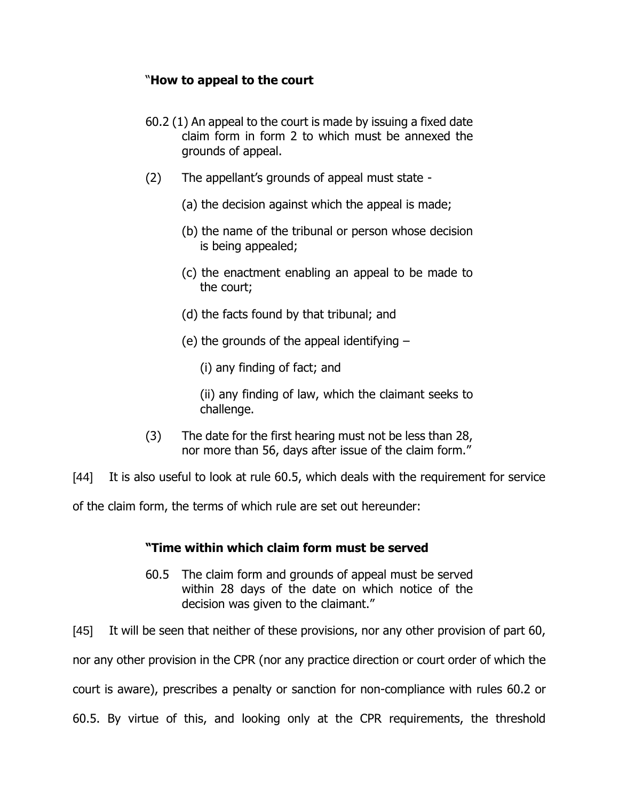## "**How to appeal to the court**

- 60.2 (1) An appeal to the court is made by issuing a fixed date claim form in form 2 to which must be annexed the grounds of appeal.
- (2) The appellant's grounds of appeal must state
	- (a) the decision against which the appeal is made;
	- (b) the name of the tribunal or person whose decision is being appealed;
	- (c) the enactment enabling an appeal to be made to the court;
	- (d) the facts found by that tribunal; and
	- (e) the grounds of the appeal identifying
		- (i) any finding of fact; and

(ii) any finding of law, which the claimant seeks to challenge.

(3) The date for the first hearing must not be less than 28, nor more than 56, days after issue of the claim form."

[44] It is also useful to look at rule 60.5, which deals with the requirement for service

of the claim form, the terms of which rule are set out hereunder:

## **"Time within which claim form must be served**

60.5 The claim form and grounds of appeal must be served within 28 days of the date on which notice of the decision was given to the claimant."

[45] It will be seen that neither of these provisions, nor any other provision of part 60,

nor any other provision in the CPR (nor any practice direction or court order of which the

court is aware), prescribes a penalty or sanction for non-compliance with rules 60.2 or

60.5. By virtue of this, and looking only at the CPR requirements, the threshold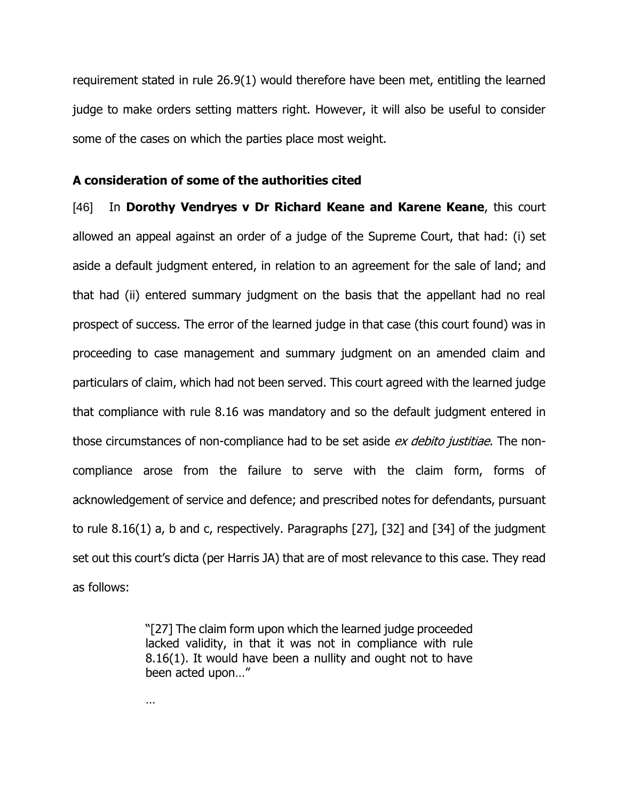requirement stated in rule 26.9(1) would therefore have been met, entitling the learned judge to make orders setting matters right. However, it will also be useful to consider some of the cases on which the parties place most weight.

#### **A consideration of some of the authorities cited**

[46] In **Dorothy Vendryes v Dr Richard Keane and Karene Keane**, this court allowed an appeal against an order of a judge of the Supreme Court, that had: (i) set aside a default judgment entered, in relation to an agreement for the sale of land; and that had (ii) entered summary judgment on the basis that the appellant had no real prospect of success. The error of the learned judge in that case (this court found) was in proceeding to case management and summary judgment on an amended claim and particulars of claim, which had not been served. This court agreed with the learned judge that compliance with rule 8.16 was mandatory and so the default judgment entered in those circumstances of non-compliance had to be set aside ex debito justitiae. The noncompliance arose from the failure to serve with the claim form, forms of acknowledgement of service and defence; and prescribed notes for defendants, pursuant to rule 8.16(1) a, b and c, respectively. Paragraphs [27], [32] and [34] of the judgment set out this court's dicta (per Harris JA) that are of most relevance to this case. They read as follows:

> "[27] The claim form upon which the learned judge proceeded lacked validity, in that it was not in compliance with rule 8.16(1). It would have been a nullity and ought not to have been acted upon…"

…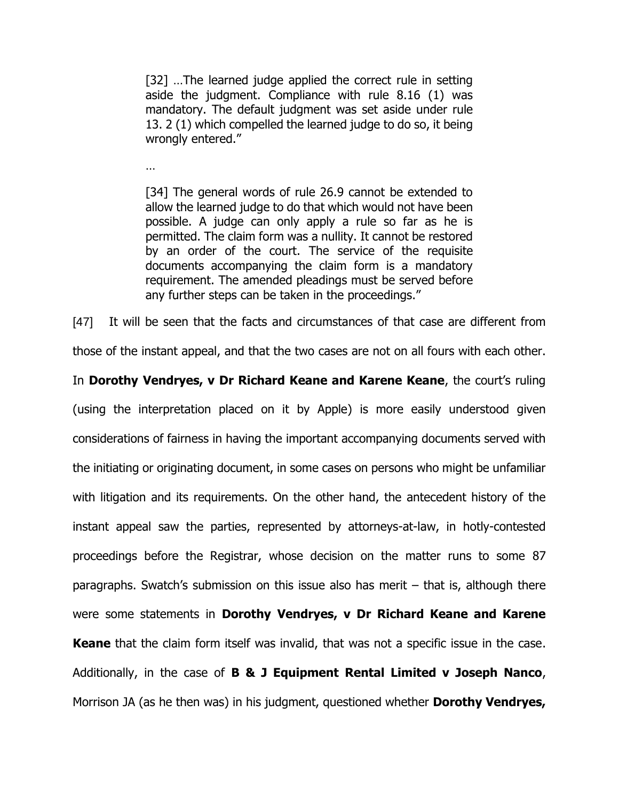[32] ...The learned judge applied the correct rule in setting aside the judgment. Compliance with rule 8.16 (1) was mandatory. The default judgment was set aside under rule 13. 2 (1) which compelled the learned judge to do so, it being wrongly entered."

…

[34] The general words of rule 26.9 cannot be extended to allow the learned judge to do that which would not have been possible. A judge can only apply a rule so far as he is permitted. The claim form was a nullity. It cannot be restored by an order of the court. The service of the requisite documents accompanying the claim form is a mandatory requirement. The amended pleadings must be served before any further steps can be taken in the proceedings."

[47] It will be seen that the facts and circumstances of that case are different from

those of the instant appeal, and that the two cases are not on all fours with each other.

In **Dorothy Vendryes, v Dr Richard Keane and Karene Keane**, the court's ruling (using the interpretation placed on it by Apple) is more easily understood given considerations of fairness in having the important accompanying documents served with the initiating or originating document, in some cases on persons who might be unfamiliar with litigation and its requirements. On the other hand, the antecedent history of the instant appeal saw the parties, represented by attorneys-at-law, in hotly-contested proceedings before the Registrar, whose decision on the matter runs to some 87 paragraphs. Swatch's submission on this issue also has merit – that is, although there were some statements in **Dorothy Vendryes, v Dr Richard Keane and Karene Keane** that the claim form itself was invalid, that was not a specific issue in the case. Additionally, in the case of **B & J Equipment Rental Limited v Joseph Nanco**, Morrison JA (as he then was) in his judgment, questioned whether **Dorothy Vendryes,**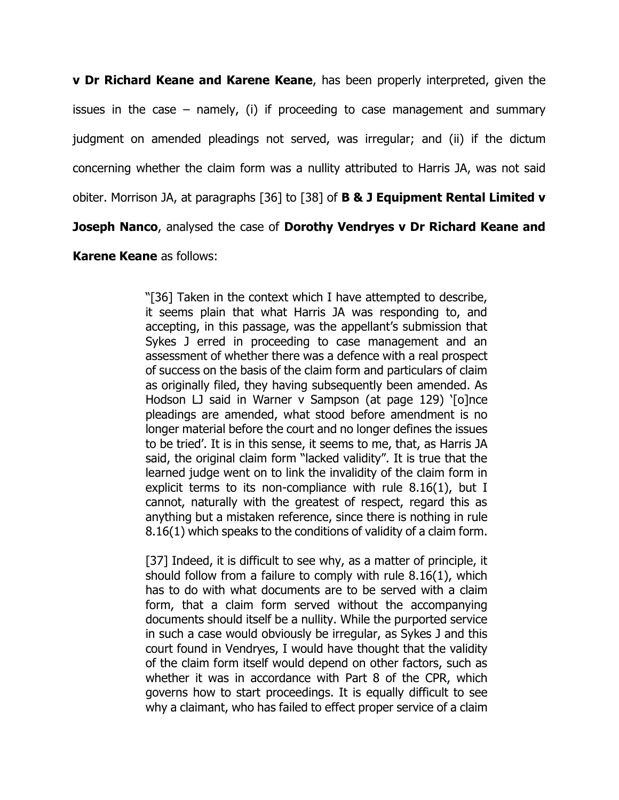**v Dr Richard Keane and Karene Keane**, has been properly interpreted, given the issues in the case – namely, (i) if proceeding to case management and summary judgment on amended pleadings not served, was irregular; and (ii) if the dictum concerning whether the claim form was a nullity attributed to Harris JA, was not said obiter. Morrison JA, at paragraphs [36] to [38] of **B & J Equipment Rental Limited v Joseph Nanco**, analysed the case of **Dorothy Vendryes v Dr Richard Keane and** 

## **Karene Keane** as follows:

"[36] Taken in the context which I have attempted to describe, it seems plain that what Harris JA was responding to, and accepting, in this passage, was the appellant's submission that Sykes J erred in proceeding to case management and an assessment of whether there was a defence with a real prospect of success on the basis of the claim form and particulars of claim as originally filed, they having subsequently been amended. As Hodson LJ said in Warner v Sampson (at page 129) '[o]nce pleadings are amended, what stood before amendment is no longer material before the court and no longer defines the issues to be tried'. It is in this sense, it seems to me, that, as Harris JA said, the original claim form "lacked validity". It is true that the learned judge went on to link the invalidity of the claim form in explicit terms to its non-compliance with rule 8.16(1), but I cannot, naturally with the greatest of respect, regard this as anything but a mistaken reference, since there is nothing in rule 8.16(1) which speaks to the conditions of validity of a claim form.

[37] Indeed, it is difficult to see why, as a matter of principle, it should follow from a failure to comply with rule 8.16(1), which has to do with what documents are to be served with a claim form, that a claim form served without the accompanying documents should itself be a nullity. While the purported service in such a case would obviously be irregular, as Sykes J and this court found in Vendryes, I would have thought that the validity of the claim form itself would depend on other factors, such as whether it was in accordance with Part 8 of the CPR, which governs how to start proceedings. It is equally difficult to see why a claimant, who has failed to effect proper service of a claim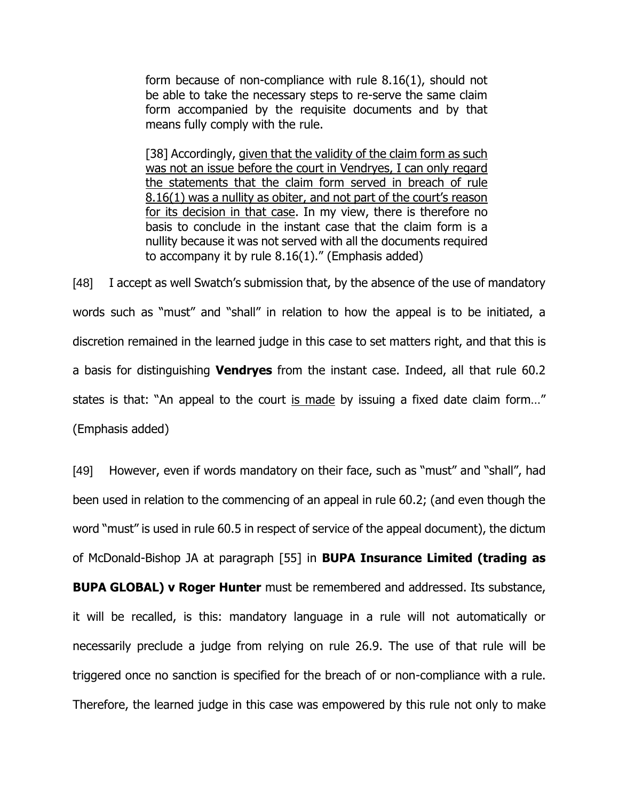form because of non-compliance with rule 8.16(1), should not be able to take the necessary steps to re-serve the same claim form accompanied by the requisite documents and by that means fully comply with the rule.

[38] Accordingly, given that the validity of the claim form as such was not an issue before the court in Vendryes, I can only regard the statements that the claim form served in breach of rule 8.16(1) was a nullity as obiter, and not part of the court's reason for its decision in that case. In my view, there is therefore no basis to conclude in the instant case that the claim form is a nullity because it was not served with all the documents required to accompany it by rule  $8.16(1)$ ." (Emphasis added)

[48] I accept as well Swatch's submission that, by the absence of the use of mandatory words such as "must" and "shall" in relation to how the appeal is to be initiated, a discretion remained in the learned judge in this case to set matters right, and that this is a basis for distinguishing **Vendryes** from the instant case. Indeed, all that rule 60.2 states is that: "An appeal to the court is made by issuing a fixed date claim form…" (Emphasis added)

[49] However, even if words mandatory on their face, such as "must" and "shall", had been used in relation to the commencing of an appeal in rule 60.2; (and even though the word "must" is used in rule 60.5 in respect of service of the appeal document), the dictum of McDonald-Bishop JA at paragraph [55] in **BUPA Insurance Limited (trading as BUPA GLOBAL) v Roger Hunter** must be remembered and addressed. Its substance, it will be recalled, is this: mandatory language in a rule will not automatically or necessarily preclude a judge from relying on rule 26.9. The use of that rule will be triggered once no sanction is specified for the breach of or non-compliance with a rule. Therefore, the learned judge in this case was empowered by this rule not only to make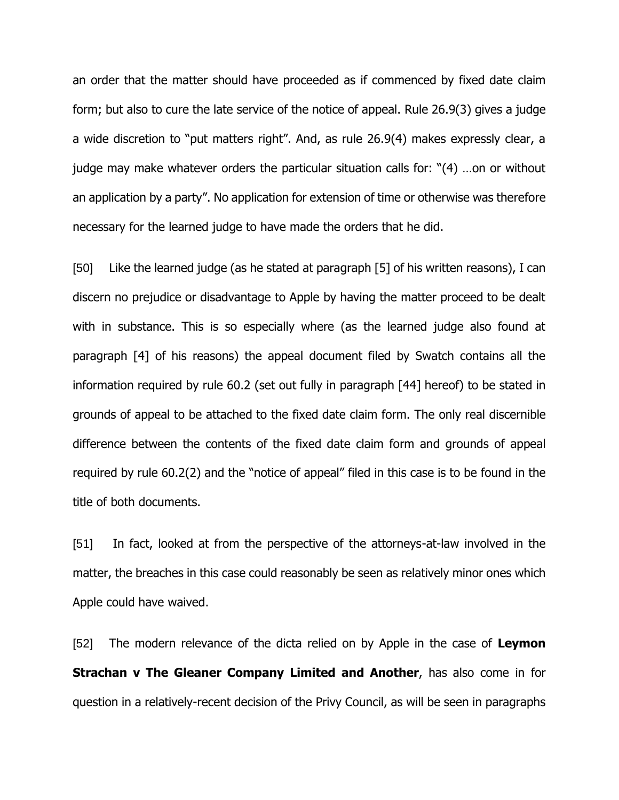an order that the matter should have proceeded as if commenced by fixed date claim form; but also to cure the late service of the notice of appeal. Rule 26.9(3) gives a judge a wide discretion to "put matters right". And, as rule 26.9(4) makes expressly clear, a judge may make whatever orders the particular situation calls for: "(4) …on or without an application by a party". No application for extension of time or otherwise was therefore necessary for the learned judge to have made the orders that he did.

[50] Like the learned judge (as he stated at paragraph [5] of his written reasons), I can discern no prejudice or disadvantage to Apple by having the matter proceed to be dealt with in substance. This is so especially where (as the learned judge also found at paragraph [4] of his reasons) the appeal document filed by Swatch contains all the information required by rule 60.2 (set out fully in paragraph [44] hereof) to be stated in grounds of appeal to be attached to the fixed date claim form. The only real discernible difference between the contents of the fixed date claim form and grounds of appeal required by rule 60.2(2) and the "notice of appeal" filed in this case is to be found in the title of both documents.

[51] In fact, looked at from the perspective of the attorneys-at-law involved in the matter, the breaches in this case could reasonably be seen as relatively minor ones which Apple could have waived.

[52] The modern relevance of the dicta relied on by Apple in the case of **Leymon Strachan v The Gleaner Company Limited and Another**, has also come in for question in a relatively-recent decision of the Privy Council, as will be seen in paragraphs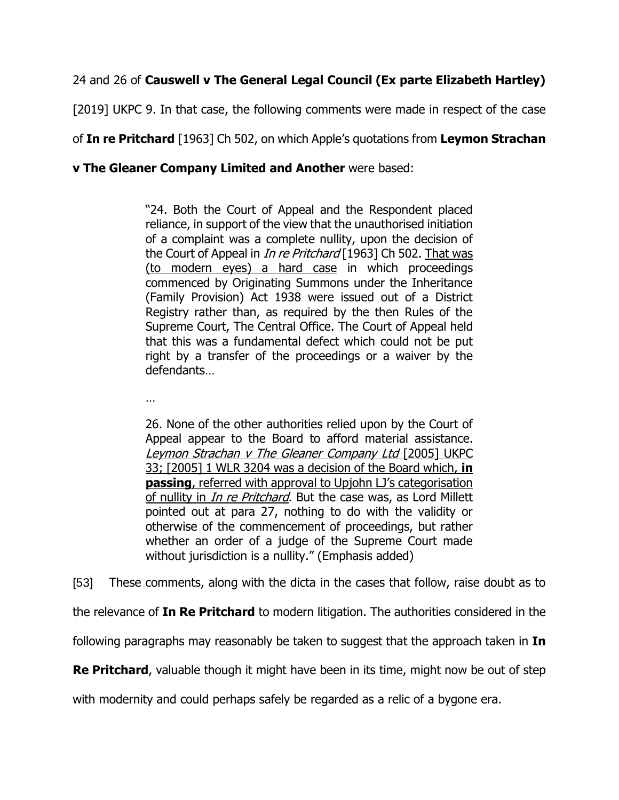# 24 and 26 of **Causwell v The General Legal Council (Ex parte Elizabeth Hartley)**

[2019] UKPC 9. In that case, the following comments were made in respect of the case

of **In re Pritchard** [1963] Ch 502, on which Apple's quotations from **Leymon Strachan** 

**v The Gleaner Company Limited and Another** were based:

"24. Both the Court of Appeal and the Respondent placed reliance, in support of the view that the unauthorised initiation of a complaint was a complete nullity, upon the decision of the Court of Appeal in *In re Pritchard* [1963] Ch 502. That was (to modern eyes) a hard case in which proceedings commenced by Originating Summons under the Inheritance (Family Provision) Act 1938 were issued out of a District Registry rather than, as required by the then Rules of the Supreme Court, The Central Office. The Court of Appeal held that this was a fundamental defect which could not be put right by a transfer of the proceedings or a waiver by the defendants…

…

26. None of the other authorities relied upon by the Court of Appeal appear to the Board to afford material assistance. Leymon Strachan v The Gleaner Company Ltd [2005] UKPC 33; [2005] 1 WLR 3204 was a decision of the Board which, **in passing**, referred with approval to Upjohn LJ's categorisation of nullity in *In re Pritchard*. But the case was, as Lord Millett pointed out at para 27, nothing to do with the validity or otherwise of the commencement of proceedings, but rather whether an order of a judge of the Supreme Court made without jurisdiction is a nullity." (Emphasis added)

[53] These comments, along with the dicta in the cases that follow, raise doubt as to

the relevance of **In Re Pritchard** to modern litigation. The authorities considered in the

following paragraphs may reasonably be taken to suggest that the approach taken in **In** 

**Re Pritchard**, valuable though it might have been in its time, might now be out of step

with modernity and could perhaps safely be regarded as a relic of a bygone era.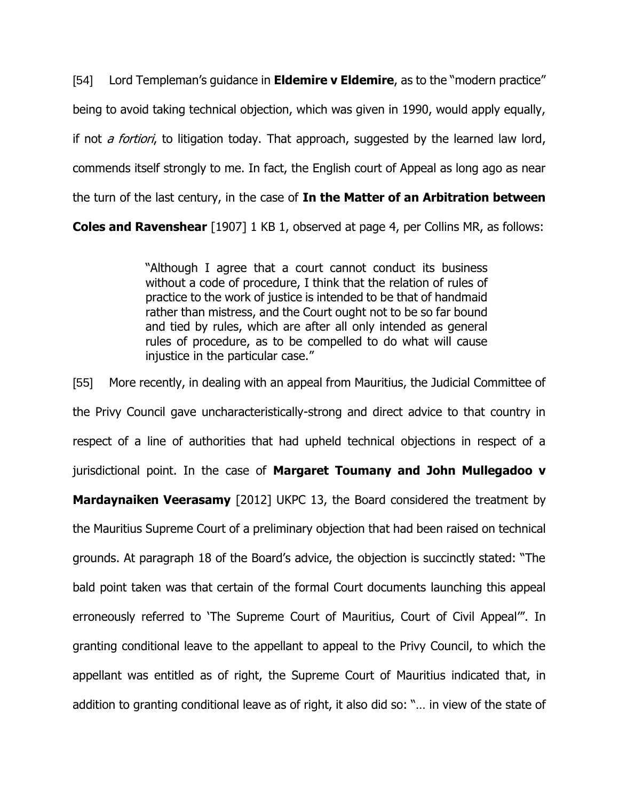[54] Lord Templeman's guidance in **Eldemire v Eldemire**, as to the "modern practice" being to avoid taking technical objection, which was given in 1990, would apply equally, if not *a fortiori*, to litigation today. That approach, suggested by the learned law lord, commends itself strongly to me. In fact, the English court of Appeal as long ago as near the turn of the last century, in the case of **In the Matter of an Arbitration between** 

**Coles and Ravenshear** [1907] 1 KB 1, observed at page 4, per Collins MR, as follows:

"Although I agree that a court cannot conduct its business without a code of procedure, I think that the relation of rules of practice to the work of justice is intended to be that of handmaid rather than mistress, and the Court ought not to be so far bound and tied by rules, which are after all only intended as general rules of procedure, as to be compelled to do what will cause injustice in the particular case."

[55] More recently, in dealing with an appeal from Mauritius, the Judicial Committee of the Privy Council gave uncharacteristically-strong and direct advice to that country in respect of a line of authorities that had upheld technical objections in respect of a jurisdictional point. In the case of **Margaret Toumany and John Mullegadoo v Mardaynaiken Veerasamy** [2012] UKPC 13, the Board considered the treatment by the Mauritius Supreme Court of a preliminary objection that had been raised on technical grounds. At paragraph 18 of the Board's advice, the objection is succinctly stated: "The bald point taken was that certain of the formal Court documents launching this appeal erroneously referred to 'The Supreme Court of Mauritius, Court of Civil Appeal'". In granting conditional leave to the appellant to appeal to the Privy Council, to which the appellant was entitled as of right, the Supreme Court of Mauritius indicated that, in addition to granting conditional leave as of right, it also did so: "… in view of the state of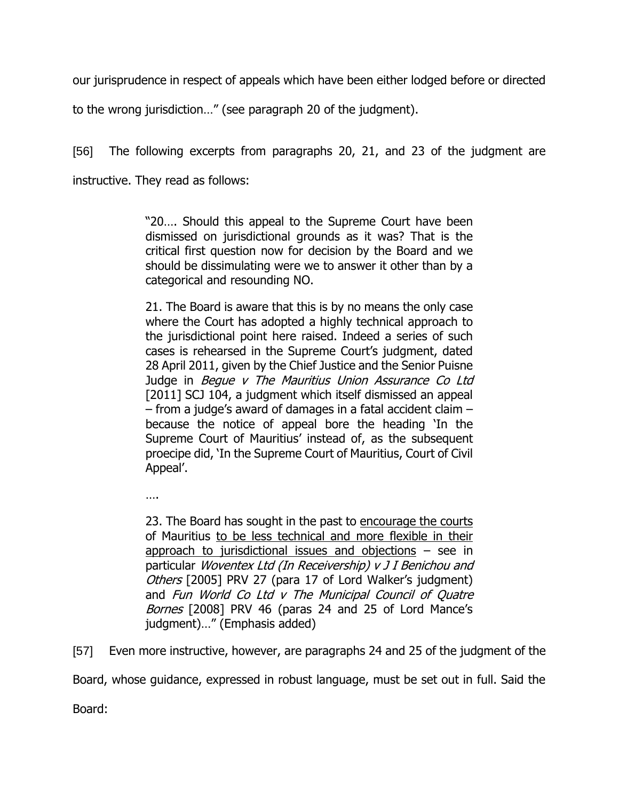our jurisprudence in respect of appeals which have been either lodged before or directed

to the wrong jurisdiction…" (see paragraph 20 of the judgment).

[56] The following excerpts from paragraphs 20, 21, and 23 of the judgment are instructive. They read as follows:

> "20…. Should this appeal to the Supreme Court have been dismissed on jurisdictional grounds as it was? That is the critical first question now for decision by the Board and we should be dissimulating were we to answer it other than by a categorical and resounding NO.

> 21. The Board is aware that this is by no means the only case where the Court has adopted a highly technical approach to the jurisdictional point here raised. Indeed a series of such cases is rehearsed in the Supreme Court's judgment, dated 28 April 2011, given by the Chief Justice and the Senior Puisne Judge in Begue v The Mauritius Union Assurance Co Ltd [2011] SCJ 104, a judgment which itself dismissed an appeal – from a judge's award of damages in a fatal accident claim – because the notice of appeal bore the heading 'In the Supreme Court of Mauritius' instead of, as the subsequent proecipe did, 'In the Supreme Court of Mauritius, Court of Civil Appeal'.

….

23. The Board has sought in the past to encourage the courts of Mauritius to be less technical and more flexible in their approach to jurisdictional issues and objections  $-$  see in particular Woventex Ltd (In Receivership) v J I Benichou and Others [2005] PRV 27 (para 17 of Lord Walker's judgment) and Fun World Co Ltd v The Municipal Council of Quatre Bornes [2008] PRV 46 (paras 24 and 25 of Lord Mance's judgment)…" (Emphasis added)

[57] Even more instructive, however, are paragraphs 24 and 25 of the judgment of the

Board, whose guidance, expressed in robust language, must be set out in full. Said the

Board: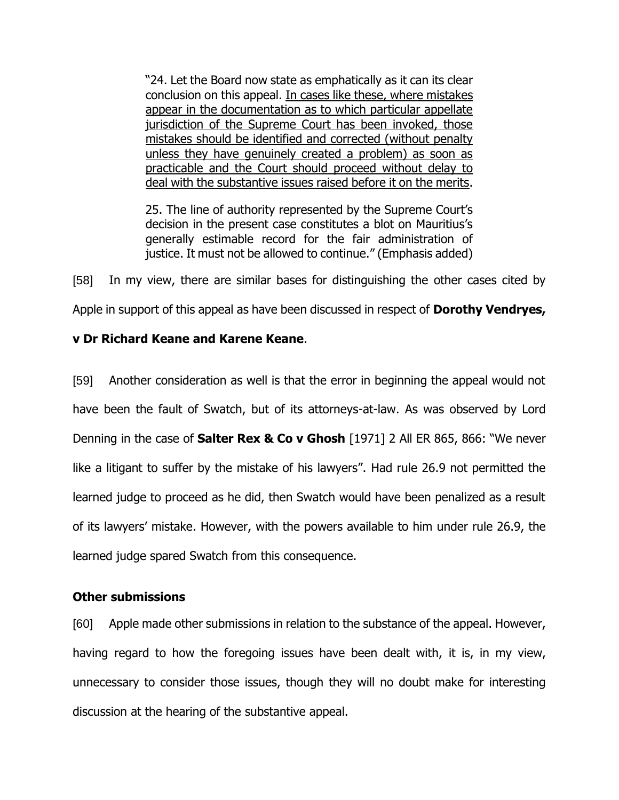"24. Let the Board now state as emphatically as it can its clear conclusion on this appeal. In cases like these, where mistakes appear in the documentation as to which particular appellate jurisdiction of the Supreme Court has been invoked, those mistakes should be identified and corrected (without penalty unless they have genuinely created a problem) as soon as practicable and the Court should proceed without delay to deal with the substantive issues raised before it on the merits.

25. The line of authority represented by the Supreme Court's decision in the present case constitutes a blot on Mauritius's generally estimable record for the fair administration of justice. It must not be allowed to continue." (Emphasis added)

[58] In my view, there are similar bases for distinguishing the other cases cited by Apple in support of this appeal as have been discussed in respect of **Dorothy Vendryes,**

## **v Dr Richard Keane and Karene Keane**.

[59] Another consideration as well is that the error in beginning the appeal would not have been the fault of Swatch, but of its attorneys-at-law. As was observed by Lord Denning in the case of **Salter Rex & Co v Ghosh** [1971] 2 All ER 865, 866: "We never like a litigant to suffer by the mistake of his lawyers". Had rule 26.9 not permitted the learned judge to proceed as he did, then Swatch would have been penalized as a result of its lawyers' mistake. However, with the powers available to him under rule 26.9, the learned judge spared Swatch from this consequence.

## **Other submissions**

[60] Apple made other submissions in relation to the substance of the appeal. However, having regard to how the foregoing issues have been dealt with, it is, in my view, unnecessary to consider those issues, though they will no doubt make for interesting discussion at the hearing of the substantive appeal.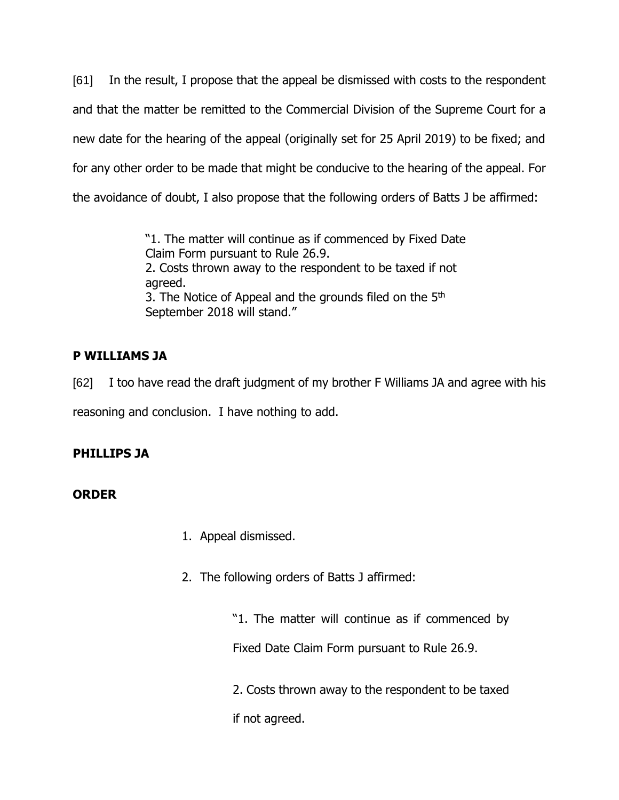[61] In the result, I propose that the appeal be dismissed with costs to the respondent and that the matter be remitted to the Commercial Division of the Supreme Court for a new date for the hearing of the appeal (originally set for 25 April 2019) to be fixed; and for any other order to be made that might be conducive to the hearing of the appeal. For the avoidance of doubt, I also propose that the following orders of Batts J be affirmed:

> "1. The matter will continue as if commenced by Fixed Date Claim Form pursuant to Rule 26.9. 2. Costs thrown away to the respondent to be taxed if not agreed. 3. The Notice of Appeal and the grounds filed on the 5<sup>th</sup> September 2018 will stand."

# **P WILLIAMS JA**

[62] I too have read the draft judgment of my brother F Williams JA and agree with his reasoning and conclusion. I have nothing to add.

# **PHILLIPS JA**

## **ORDER**

- 1. Appeal dismissed.
- 2. The following orders of Batts J affirmed:

"1. The matter will continue as if commenced by Fixed Date Claim Form pursuant to Rule 26.9.

2. Costs thrown away to the respondent to be taxed if not agreed.